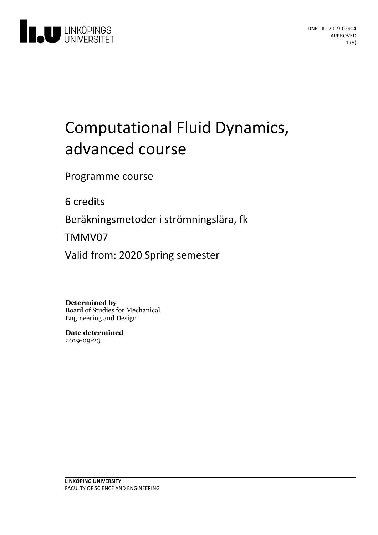

# Computational Fluid Dynamics, advanced course

Programme course

6 credits

Beräkningsmetoder i strömningslära, fk

TMMV07

Valid from: 2020 Spring semester

**Determined by**

Board of Studies for Mechanical Engineering and Design

**Date determined** 2019-09-23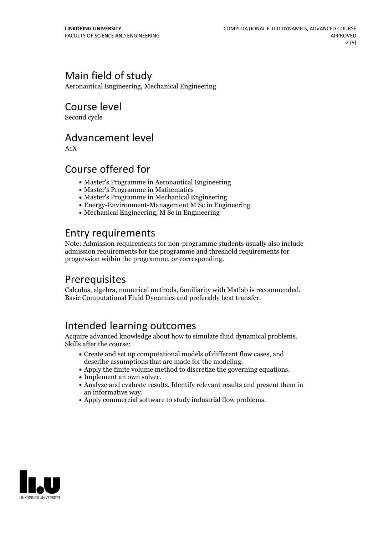### Main field of study

Aeronautical Engineering, Mechanical Engineering

Course level

Second cycle

### Advancement level

A1X

### Course offered for

- Master's Programme in Aeronautical Engineering
- Master's Programme in Mathematics
- Master's Programme in Mechanical Engineering
- Energy-Environment-Management M Sc in Engineering
- Mechanical Engineering, M Sc in Engineering

### Entry requirements

Note: Admission requirements for non-programme students usually also include admission requirements for the programme and threshold requirements for progression within the programme, or corresponding.

### Prerequisites

Calculus, algebra, numerical methods, familiarity with Matlab is recommended. Basic Computational Fluid Dynamics and preferably heat transfer.

### Intended learning outcomes

Acquire advanced knowledge about how to simulate fluid dynamical problems. Skills after the course:

- Create and set up computational models of different flow cases, and
- describe assumptions that are made for the modeling.<br>• Apply the finite volume method to discretize the governing equations.<br>• Implement an own solver.<br>• Analyze and evaluate results. Identify relevant results and present
- 
- an informative way.<br>• Apply commercial software to study industrial flow problems.
- 

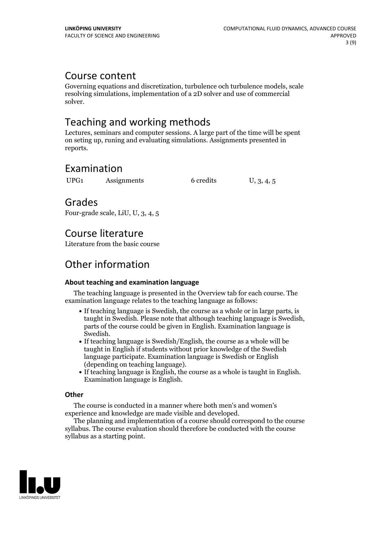### Course content

Governing equations and discretization, turbulence och turbulence models, scale resolving simulations, implementation of a 2D solver and use of commercial solver.

### Teaching and working methods

Lectures, seminars and computer sessions. A large part of the time will be spent on seting up, runing and evaluating simulations. Assignments presented in reports.

### Examination

UPG1 Assignments 6 credits U, 3, 4, 5

### Grades

Four-grade scale, LiU, U, 3, 4, 5

### Course literature

Literature from the basic course

## Other information

#### **About teaching and examination language**

The teaching language is presented in the Overview tab for each course. The examination language relates to the teaching language as follows:

- If teaching language is Swedish, the course as a whole or in large parts, is taught in Swedish. Please note that although teaching language is Swedish, parts of the course could be given in English. Examination language is
- Swedish.<br>• If teaching language is Swedish/English, the course as a whole will be taught in English if students without prior knowledge of the Swedish language participate. Examination language is Swedish or English
- $\bullet$  If teaching language is English, the course as a whole is taught in English. Examination language is English.

#### **Other**

The course is conducted in a manner where both men's and women's

The planning and implementation of a course should correspond to the course syllabus. The course evaluation should therefore be conducted with the course syllabus as a starting point.

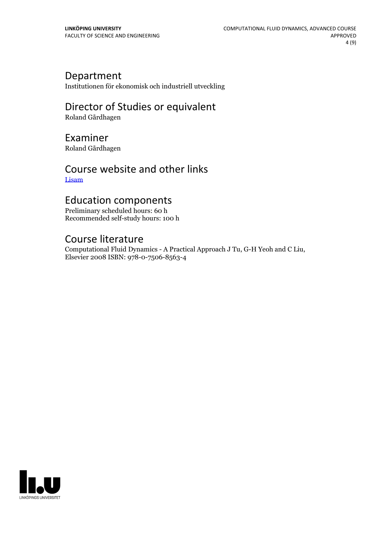### Department

Institutionen för ekonomisk och industriell utveckling

## Director of Studies or equivalent

Roland Gårdhagen

### Examiner

Roland Gårdhagen

### Course website and other links [Lisam](https://studieinfo.liu.se/Lisam)

### Education components

Preliminary scheduled hours: 60 h Recommended self-study hours: 100 h

### Course literature

Computational Fluid Dynamics - <sup>A</sup> Practical Approach <sup>J</sup> Tu, G-H Yeoh and <sup>C</sup> Liu, Elsevier <sup>2008</sup> ISBN: 978-0-7506-8563-4

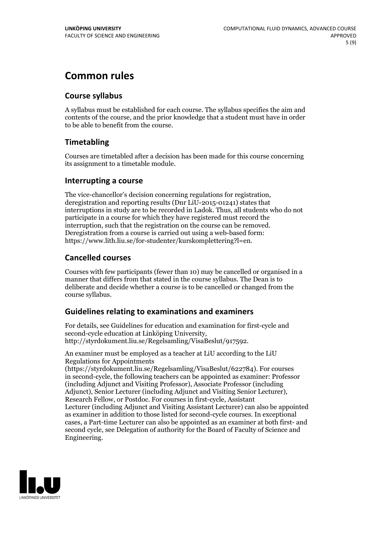### **Common rules**

#### **Course syllabus**

A syllabus must be established for each course. The syllabus specifies the aim and contents of the course, and the prior knowledge that a student must have in order to be able to benefit from the course.

#### **Timetabling**

Courses are timetabled after a decision has been made for this course concerning its assignment to a timetable module.

#### **Interrupting a course**

The vice-chancellor's decision concerning regulations for registration, deregistration and reporting results (Dnr LiU-2015-01241) states that interruptions in study are to be recorded in Ladok. Thus, all students who do not participate in a course for which they have registered must record the interruption, such that the registration on the course can be removed. Deregistration from <sup>a</sup> course is carried outusing <sup>a</sup> web-based form: https://www.lith.liu.se/for-studenter/kurskomplettering?l=en.

#### **Cancelled courses**

Courses with few participants (fewer than 10) may be cancelled or organised in a manner that differs from that stated in the course syllabus. The Dean is to deliberate and decide whether a course is to be cancelled or changed from the course syllabus.

#### **Guidelines relatingto examinations and examiners**

For details, see Guidelines for education and examination for first-cycle and second-cycle education at Linköping University, http://styrdokument.liu.se/Regelsamling/VisaBeslut/917592.

An examiner must be employed as a teacher at LiU according to the LiU Regulations for Appointments

(https://styrdokument.liu.se/Regelsamling/VisaBeslut/622784). For courses in second-cycle, the following teachers can be appointed as examiner: Professor (including Adjunct and Visiting Professor), Associate Professor (including Adjunct), Senior Lecturer (including Adjunct and Visiting Senior Lecturer), Research Fellow, or Postdoc. For courses in first-cycle, Assistant Lecturer (including Adjunct and Visiting Assistant Lecturer) can also be appointed as examiner in addition to those listed for second-cycle courses. In exceptional cases, a Part-time Lecturer can also be appointed as an examiner at both first- and second cycle, see Delegation of authority for the Board of Faculty of Science and Engineering.

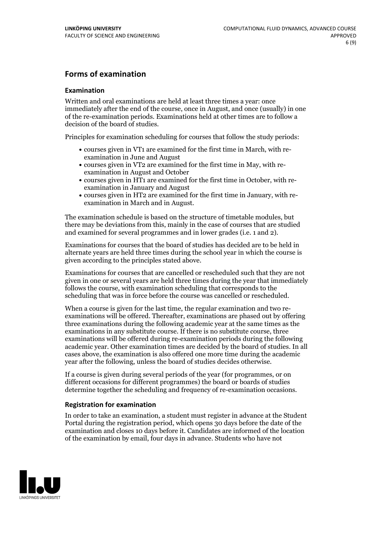#### **Forms of examination**

#### **Examination**

Written and oral examinations are held at least three times a year: once immediately after the end of the course, once in August, and once (usually) in one of the re-examination periods. Examinations held at other times are to follow a decision of the board of studies.

Principles for examination scheduling for courses that follow the study periods:

- courses given in VT1 are examined for the first time in March, with re-examination in June and August
- courses given in VT2 are examined for the first time in May, with re-examination in August and October
- courses given in HT1 are examined for the first time in October, with re-examination in January and August
- courses given in HT2 are examined for the first time in January, with re-examination in March and in August.

The examination schedule is based on the structure of timetable modules, but there may be deviations from this, mainly in the case of courses that are studied and examined for several programmes and in lower grades (i.e. 1 and 2).

Examinations for courses that the board of studies has decided are to be held in alternate years are held three times during the school year in which the course is given according to the principles stated above.

Examinations for courses that are cancelled orrescheduled such that they are not given in one or several years are held three times during the year that immediately follows the course, with examination scheduling that corresponds to the scheduling that was in force before the course was cancelled or rescheduled.

When a course is given for the last time, the regular examination and two re-<br>examinations will be offered. Thereafter, examinations are phased out by offering three examinations during the following academic year at the same times as the examinations in any substitute course. If there is no substitute course, three examinations will be offered during re-examination periods during the following academic year. Other examination times are decided by the board of studies. In all cases above, the examination is also offered one more time during the academic year after the following, unless the board of studies decides otherwise.

If a course is given during several periods of the year (for programmes, or on different occasions for different programmes) the board or boards of studies determine together the scheduling and frequency of re-examination occasions.

#### **Registration for examination**

In order to take an examination, a student must register in advance at the Student Portal during the registration period, which opens 30 days before the date of the examination and closes 10 days before it. Candidates are informed of the location of the examination by email, four days in advance. Students who have not

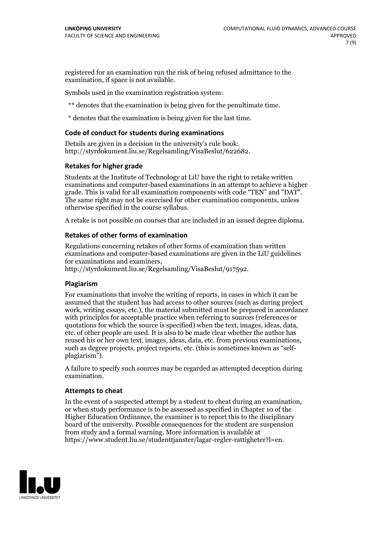registered for an examination run the risk of being refused admittance to the examination, if space is not available.

Symbols used in the examination registration system:

\*\* denotes that the examination is being given for the penultimate time.

\* denotes that the examination is being given for the last time.

#### **Code of conduct for students during examinations**

Details are given in a decision in the university's rule book: http://styrdokument.liu.se/Regelsamling/VisaBeslut/622682.

#### **Retakes for higher grade**

Students at the Institute of Technology at LiU have the right to retake written examinations and computer-based examinations in an attempt to achieve a higher grade. This is valid for all examination components with code "TEN" and "DAT". The same right may not be exercised for other examination components, unless otherwise specified in the course syllabus.

A retake is not possible on courses that are included in an issued degree diploma.

#### **Retakes of other forms of examination**

Regulations concerning retakes of other forms of examination than written examinations and computer-based examinations are given in the LiU guidelines

http://styrdokument.liu.se/Regelsamling/VisaBeslut/917592.

#### **Plagiarism**

For examinations that involve the writing of reports, in cases in which it can be assumed that the student has had access to other sources (such as during project work, writing essays, etc.), the material submitted must be prepared in accordance with principles for acceptable practice when referring to sources (references or quotations for which the source is specified) when the text, images, ideas, data,  $\vec{e}$  etc. of other people are used. It is also to be made clear whether the author has reused his or her own text, images, ideas, data, etc. from previous examinations, such as degree projects, project reports, etc. (this is sometimes known as "self- plagiarism").

A failure to specify such sources may be regarded as attempted deception during examination.

#### **Attempts to cheat**

In the event of <sup>a</sup> suspected attempt by <sup>a</sup> student to cheat during an examination, or when study performance is to be assessed as specified in Chapter <sup>10</sup> of the Higher Education Ordinance, the examiner is to report this to the disciplinary board of the university. Possible consequences for the student are suspension from study and a formal warning. More information is available at https://www.student.liu.se/studenttjanster/lagar-regler-rattigheter?l=en.

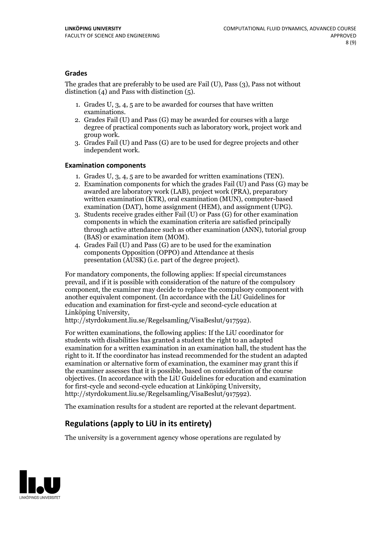#### **Grades**

The grades that are preferably to be used are Fail (U), Pass (3), Pass not without distinction  $(4)$  and Pass with distinction  $(5)$ .

- 1. Grades U, 3, 4, 5 are to be awarded for courses that have written
- examinations. 2. Grades Fail (U) and Pass (G) may be awarded for courses with <sup>a</sup> large degree of practical components such as laboratory work, project work and group work. 3. Grades Fail (U) and Pass (G) are to be used for degree projects and other
- independent work.

#### **Examination components**

- 
- 1. Grades U, 3, 4, <sup>5</sup> are to be awarded for written examinations (TEN). 2. Examination components for which the grades Fail (U) and Pass (G) may be awarded are laboratory work (LAB), project work (PRA), preparatory written examination (KTR), oral examination (MUN), computer-based
- examination (DAT), home assignment (HEM), and assignment (UPG). 3. Students receive grades either Fail (U) or Pass (G) for other examination components in which the examination criteria are satisfied principally through active attendance such as other examination (ANN), tutorial group
- (BAS) or examination item (MOM). 4. Grades Fail (U) and Pass (G) are to be used for the examination components Opposition (OPPO) and Attendance at thesis presentation (AUSK) (i.e. part of the degree project).

For mandatory components, the following applies: If special circumstances prevail, and if it is possible with consideration of the nature of the compulsory component, the examiner may decide to replace the compulsory component with another equivalent component. (In accordance with the LiU Guidelines for education and examination for first-cycle and second-cycle education at Linköping University, http://styrdokument.liu.se/Regelsamling/VisaBeslut/917592).

For written examinations, the following applies: If the LiU coordinator for students with disabilities has granted a student the right to an adapted examination for a written examination in an examination hall, the student has the right to it. If the coordinator has instead recommended for the student an adapted examination or alternative form of examination, the examiner may grant this if the examiner assesses that it is possible, based on consideration of the course objectives. (In accordance with the LiU Guidelines for education and examination for first-cycle and second-cycle education at Linköping University, http://styrdokument.liu.se/Regelsamling/VisaBeslut/917592).

The examination results for a student are reported at the relevant department.

### **Regulations (applyto LiU in its entirety)**

The university is a government agency whose operations are regulated by